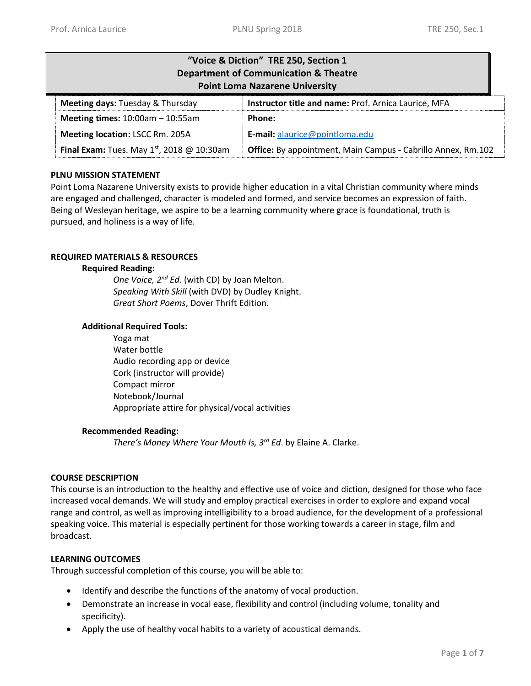| "Voice & Diction" TRE 250, Section 1<br><b>Department of Communication &amp; Theatre</b><br><b>Point Loma Nazarene University</b> |        |  |  |
|-----------------------------------------------------------------------------------------------------------------------------------|--------|--|--|
| Instructor title and name: Prof. Arnica Laurice, MFA<br>Meeting days: Tuesday & Thursday                                          |        |  |  |
| Meeting times: $10:00am - 10:55am$                                                                                                | Phone: |  |  |
| Meeting location: LSCC Rm. 205A<br>E-mail: alaurice@pointloma.edu                                                                 |        |  |  |
| Final Exam: Tues. May $1st$ , 2018 @ 10:30am<br>Office: By appointment, Main Campus - Cabrillo Annex, Rm.102                      |        |  |  |

## **PLNU MISSION STATEMENT**

Point Loma Nazarene University exists to provide higher education in a vital Christian community where minds are engaged and challenged, character is modeled and formed, and service becomes an expression of faith. Being of Wesleyan heritage, we aspire to be a learning community where grace is foundational, truth is pursued, and holiness is a way of life.

## **REQUIRED MATERIALS & RESOURCES**

## **Required Reading:**

*One Voice, 2nd Ed.* (with CD) by Joan Melton. *Speaking With Skill* (with DVD) by Dudley Knight. *Great Short Poems*, Dover Thrift Edition.

## **Additional Required Tools:**

Yoga mat Water bottle Audio recording app or device Cork (instructor will provide) Compact mirror Notebook/Journal Appropriate attire for physical/vocal activities

#### **Recommended Reading:**

*There's Money Where Your Mouth Is, 3rd Ed*. by Elaine A. Clarke.

## **COURSE DESCRIPTION**

This course is an introduction to the healthy and effective use of voice and diction, designed for those who face increased vocal demands. We will study and employ practical exercises in order to explore and expand vocal range and control, as well as improving intelligibility to a broad audience, for the development of a professional speaking voice. This material is especially pertinent for those working towards a career in stage, film and broadcast.

## **LEARNING OUTCOMES**

Through successful completion of this course, you will be able to:

- $\bullet$  Identify and describe the functions of the anatomy of vocal production.
- Demonstrate an increase in vocal ease, flexibility and control (including volume, tonality and specificity).
- Apply the use of healthy vocal habits to a variety of acoustical demands.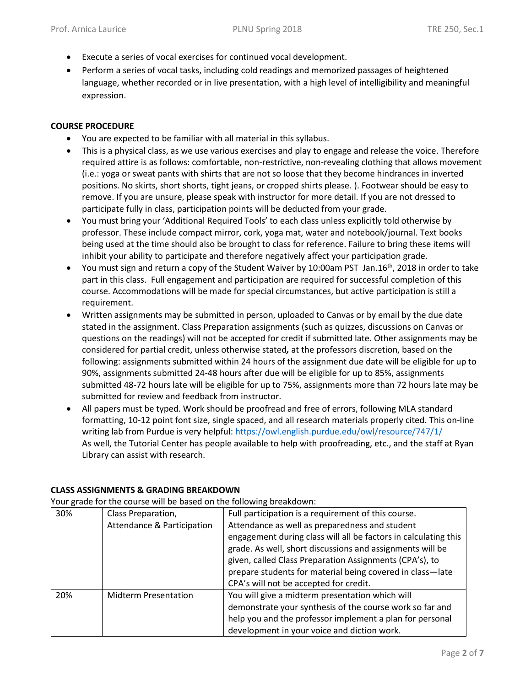- Execute a series of vocal exercises for continued vocal development.
- Perform a series of vocal tasks, including cold readings and memorized passages of heightened language, whether recorded or in live presentation, with a high level of intelligibility and meaningful expression.

## **COURSE PROCEDURE**

- You are expected to be familiar with all material in this syllabus.
- This is a physical class, as we use various exercises and play to engage and release the voice. Therefore required attire is as follows: comfortable, non-restrictive, non-revealing clothing that allows movement (i.e.: yoga or sweat pants with shirts that are not so loose that they become hindrances in inverted positions. No skirts, short shorts, tight jeans, or cropped shirts please. ). Footwear should be easy to remove. If you are unsure, please speak with instructor for more detail. If you are not dressed to participate fully in class, participation points will be deducted from your grade.
- You must bring your 'Additional Required Tools' to each class unless explicitly told otherwise by professor. These include compact mirror, cork, yoga mat, water and notebook/journal. Text books being used at the time should also be brought to class for reference. Failure to bring these items will inhibit your ability to participate and therefore negatively affect your participation grade.
- $\bullet$  You must sign and return a copy of the Student Waiver by 10:00am PST Jan.16<sup>th</sup>, 2018 in order to take part in this class. Full engagement and participation are required for successful completion of this course. Accommodations will be made for special circumstances, but active participation is still a requirement.
- Written assignments may be submitted in person, uploaded to Canvas or by email by the due date stated in the assignment. Class Preparation assignments (such as quizzes, discussions on Canvas or questions on the readings) will not be accepted for credit if submitted late. Other assignments may be considered for partial credit, unless otherwise stated*,* at the professors discretion, based on the following: assignments submitted within 24 hours of the assignment due date will be eligible for up to 90%, assignments submitted 24-48 hours after due will be eligible for up to 85%, assignments submitted 48-72 hours late will be eligible for up to 75%, assignments more than 72 hours late may be submitted for review and feedback from instructor.
- All papers must be typed. Work should be proofread and free of errors, following MLA standard formatting, 10-12 point font size, single spaced, and all research materials properly cited. This on-line writing lab from Purdue is very helpful: <https://owl.english.purdue.edu/owl/resource/747/1/> As well, the Tutorial Center has people available to help with proofreading, etc., and the staff at Ryan Library can assist with research.

Your grade for the course will be based on the following breakdown:

| 30% | Class Preparation,          | Full participation is a requirement of this course.             |  |
|-----|-----------------------------|-----------------------------------------------------------------|--|
|     | Attendance & Participation  | Attendance as well as preparedness and student                  |  |
|     |                             | engagement during class will all be factors in calculating this |  |
|     |                             | grade. As well, short discussions and assignments will be       |  |
|     |                             | given, called Class Preparation Assignments (CPA's), to         |  |
|     |                             | prepare students for material being covered in class-late       |  |
|     |                             | CPA's will not be accepted for credit.                          |  |
| 20% | <b>Midterm Presentation</b> | You will give a midterm presentation which will                 |  |
|     |                             | demonstrate your synthesis of the course work so far and        |  |
|     |                             | help you and the professor implement a plan for personal        |  |
|     |                             | development in your voice and diction work.                     |  |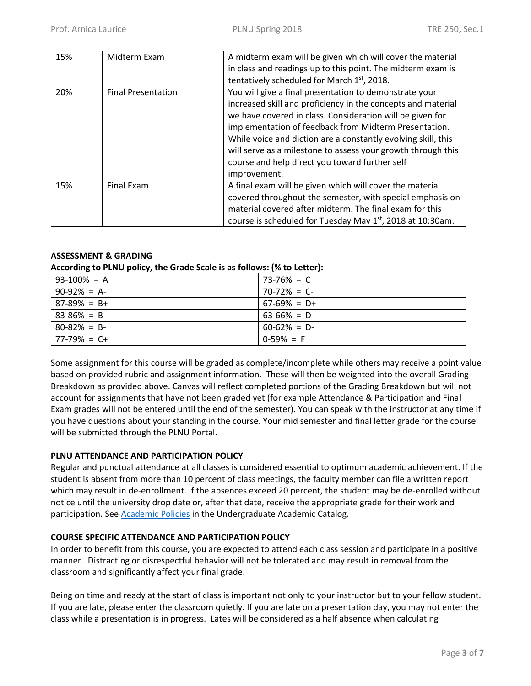| 15% | Midterm Exam              | A midterm exam will be given which will cover the material<br>in class and readings up to this point. The midterm exam is<br>tentatively scheduled for March 1st, 2018.                                                                                                                                                                                                                                                                         |
|-----|---------------------------|-------------------------------------------------------------------------------------------------------------------------------------------------------------------------------------------------------------------------------------------------------------------------------------------------------------------------------------------------------------------------------------------------------------------------------------------------|
| 20% | <b>Final Presentation</b> | You will give a final presentation to demonstrate your<br>increased skill and proficiency in the concepts and material<br>we have covered in class. Consideration will be given for<br>implementation of feedback from Midterm Presentation.<br>While voice and diction are a constantly evolving skill, this<br>will serve as a milestone to assess your growth through this<br>course and help direct you toward further self<br>improvement. |
| 15% | Final Exam                | A final exam will be given which will cover the material<br>covered throughout the semester, with special emphasis on<br>material covered after midterm. The final exam for this<br>course is scheduled for Tuesday May 1 <sup>st</sup> , 2018 at 10:30am.                                                                                                                                                                                      |

## **ASSESSMENT & GRADING**

## **According to PLNU policy, the Grade Scale is as follows: (% to Letter):**

| $93-100\% = A$  | $73 - 76\% = C$ |
|-----------------|-----------------|
| $90-92\% = A$   | $70-72\% = C$   |
| $87-89\% = B+$  | $67-69\% = D+$  |
| $83 - 86\% = B$ | $63 - 66\% = D$ |
| $80 - 82\% = B$ | $60 - 62\% = D$ |
| $177-79\% = C+$ | $0-59\% = F$    |

Some assignment for this course will be graded as complete/incomplete while others may receive a point value based on provided rubric and assignment information. These will then be weighted into the overall Grading Breakdown as provided above. Canvas will reflect completed portions of the Grading Breakdown but will not account for assignments that have not been graded yet (for example Attendance & Participation and Final Exam grades will not be entered until the end of the semester). You can speak with the instructor at any time if you have questions about your standing in the course. Your mid semester and final letter grade for the course will be submitted through the PLNU Portal.

## **PLNU ATTENDANCE AND PARTICIPATION POLICY**

Regular and punctual attendance at all classes is considered essential to optimum academic achievement. If the student is absent from more than 10 percent of class meetings, the faculty member can file a written report which may result in de-enrollment. If the absences exceed 20 percent, the student may be de-enrolled without notice until the university drop date or, after that date, receive the appropriate grade for their work and participation. See **Academic Policies** in the Undergraduate Academic Catalog.

## **COURSE SPECIFIC ATTENDANCE AND PARTICIPATION POLICY**

In order to benefit from this course, you are expected to attend each class session and participate in a positive manner. Distracting or disrespectful behavior will not be tolerated and may result in removal from the classroom and significantly affect your final grade.

Being on time and ready at the start of class is important not only to your instructor but to your fellow student. If you are late, please enter the classroom quietly. If you are late on a presentation day, you may not enter the class while a presentation is in progress. Lates will be considered as a half absence when calculating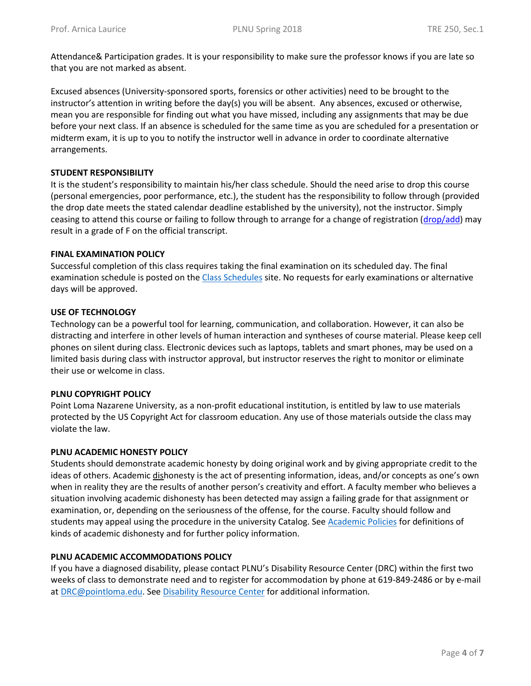Attendance& Participation grades. It is your responsibility to make sure the professor knows if you are late so that you are not marked as absent.

Excused absences (University-sponsored sports, forensics or other activities) need to be brought to the instructor's attention in writing before the day(s) you will be absent. Any absences, excused or otherwise, mean you are responsible for finding out what you have missed, including any assignments that may be due before your next class. If an absence is scheduled for the same time as you are scheduled for a presentation or midterm exam, it is up to you to notify the instructor well in advance in order to coordinate alternative arrangements.

## **STUDENT RESPONSIBILITY**

It is the student's responsibility to maintain his/her class schedule. Should the need arise to drop this course (personal emergencies, poor performance, etc.), the student has the responsibility to follow through (provided the drop date meets the stated calendar deadline established by the university), not the instructor. Simply ceasing to attend this course or failing to follow through to arrange for a change of registration [\(drop/add\)](http://www.pointloma.edu/sites/default/files/filemanager/Records_Office/Change_of_Schedule_Form.pdf) may result in a grade of F on the official transcript.

## **FINAL EXAMINATION POLICY**

Successful completion of this class requires taking the final examination on its scheduled day. The final examination schedule is posted on the [Class Schedules](http://www.pointloma.edu/experience/academics/class-schedules) site. No requests for early examinations or alternative days will be approved.

## **USE OF TECHNOLOGY**

Technology can be a powerful tool for learning, communication, and collaboration. However, it can also be distracting and interfere in other levels of human interaction and syntheses of course material. Please keep cell phones on silent during class. Electronic devices such as laptops, tablets and smart phones, may be used on a limited basis during class with instructor approval, but instructor reserves the right to monitor or eliminate their use or welcome in class.

## **PLNU COPYRIGHT POLICY**

Point Loma Nazarene University, as a non-profit educational institution, is entitled by law to use materials protected by the US Copyright Act for classroom education. Any use of those materials outside the class may violate the law.

## **PLNU ACADEMIC HONESTY POLICY**

Students should demonstrate academic honesty by doing original work and by giving appropriate credit to the ideas of others. Academic dishonesty is the act of presenting information, ideas, and/or concepts as one's own when in reality they are the results of another person's creativity and effort. A faculty member who believes a situation involving academic dishonesty has been detected may assign a failing grade for that assignment or examination, or, depending on the seriousness of the offense, for the course. Faculty should follow and students may appeal using the procedure in the university Catalog. See [Academic Policies](http://catalog.pointloma.edu/content.php?catoid=18&navoid=1278) for definitions of kinds of academic dishonesty and for further policy information.

## **PLNU ACADEMIC ACCOMMODATIONS POLICY**

If you have a diagnosed disability, please contact PLNU's Disability Resource Center (DRC) within the first two weeks of class to demonstrate need and to register for accommodation by phone at 619-849-2486 or by e-mail at [DRC@pointloma.edu.](mailto:DRC@pointloma.edu) See [Disability Resource Center](http://www.pointloma.edu/experience/offices/administrative-offices/academic-advising-office/disability-resource-center) for additional information.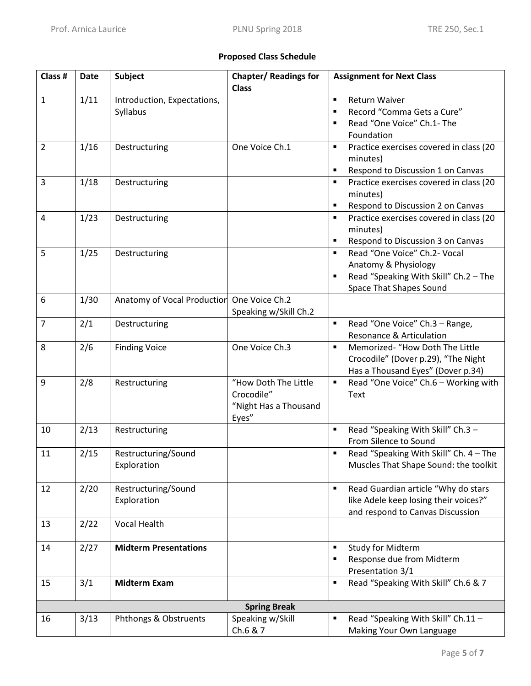## **Proposed Class Schedule**

| Class #        | Date | <b>Subject</b>                             | <b>Chapter/ Readings for</b><br><b>Class</b>                         | <b>Assignment for Next Class</b>                                                                                                                     |
|----------------|------|--------------------------------------------|----------------------------------------------------------------------|------------------------------------------------------------------------------------------------------------------------------------------------------|
| 1              | 1/11 | Introduction, Expectations,<br>Syllabus    |                                                                      | <b>Return Waiver</b><br>$\blacksquare$<br>Record "Comma Gets a Cure"<br>$\blacksquare$<br>Read "One Voice" Ch.1- The<br>$\blacksquare$<br>Foundation |
| $\overline{2}$ | 1/16 | Destructuring                              | One Voice Ch.1                                                       | Practice exercises covered in class (20<br>٠<br>minutes)<br>Respond to Discussion 1 on Canvas<br>٠                                                   |
| 3              | 1/18 | Destructuring                              |                                                                      | Practice exercises covered in class (20<br>$\blacksquare$<br>minutes)<br>Respond to Discussion 2 on Canvas<br>$\blacksquare$                         |
| $\overline{4}$ | 1/23 | Destructuring                              |                                                                      | $\blacksquare$<br>Practice exercises covered in class (20<br>minutes)<br>Respond to Discussion 3 on Canvas<br>٠                                      |
| 5              | 1/25 | Destructuring                              |                                                                      | Read "One Voice" Ch.2- Vocal<br>$\blacksquare$<br>Anatomy & Physiology<br>Read "Speaking With Skill" Ch.2 - The<br><b>Space That Shapes Sound</b>    |
| 6              | 1/30 | Anatomy of Vocal Production One Voice Ch.2 | Speaking w/Skill Ch.2                                                |                                                                                                                                                      |
| $\overline{7}$ | 2/1  | Destructuring                              |                                                                      | Read "One Voice" Ch.3 - Range,<br>Resonance & Articulation                                                                                           |
| 8              | 2/6  | <b>Finding Voice</b>                       | One Voice Ch.3                                                       | Memorized- "How Doth The Little<br>$\blacksquare$<br>Crocodile" (Dover p.29), "The Night<br>Has a Thousand Eyes" (Dover p.34)                        |
| 9              | 2/8  | Restructuring                              | "How Doth The Little<br>Crocodile"<br>"Night Has a Thousand<br>Eyes" | Read "One Voice" Ch.6 - Working with<br>$\blacksquare$<br>Text                                                                                       |
| 10             | 2/13 | Restructuring                              |                                                                      | Read "Speaking With Skill" Ch.3 -<br>$\blacksquare$<br>From Silence to Sound                                                                         |
| 11             | 2/15 | Restructuring/Sound<br>Exploration         |                                                                      | Read "Speaking With Skill" Ch. 4 - The<br>$\blacksquare$<br>Muscles That Shape Sound: the toolkit                                                    |
| 12             | 2/20 | Restructuring/Sound<br>Exploration         |                                                                      | Read Guardian article "Why do stars<br>like Adele keep losing their voices?"<br>and respond to Canvas Discussion                                     |
| 13             | 2/22 | <b>Vocal Health</b>                        |                                                                      |                                                                                                                                                      |
| 14             | 2/27 | <b>Midterm Presentations</b>               |                                                                      | Study for Midterm<br>$\blacksquare$<br>Response due from Midterm<br>Presentation 3/1                                                                 |
| 15             | 3/1  | <b>Midterm Exam</b>                        |                                                                      | Read "Speaking With Skill" Ch.6 & 7<br>٠                                                                                                             |
|                |      |                                            | <b>Spring Break</b>                                                  |                                                                                                                                                      |
| 16             | 3/13 | Phthongs & Obstruents                      | Speaking w/Skill<br>Ch.6 & 7                                         | Read "Speaking With Skill" Ch.11 -<br>Making Your Own Language                                                                                       |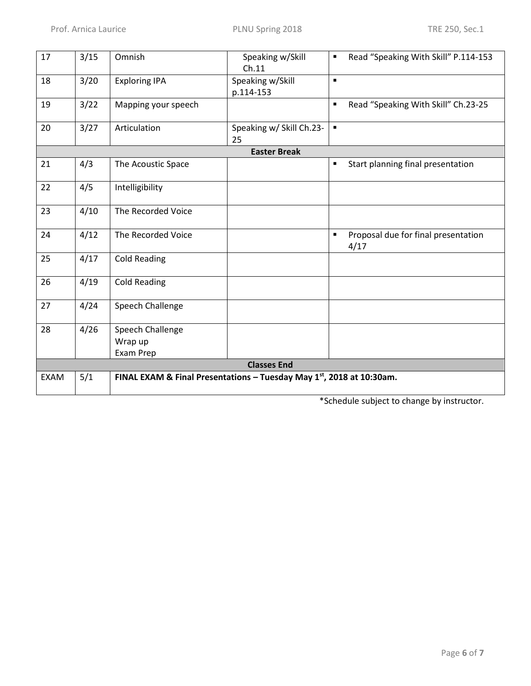| 17          | 3/15               | Omnish                                                                  | Speaking w/Skill<br>Ch.11      | п              | Read "Speaking With Skill" P.114-153        |
|-------------|--------------------|-------------------------------------------------------------------------|--------------------------------|----------------|---------------------------------------------|
| 18          | 3/20               | <b>Exploring IPA</b>                                                    | Speaking w/Skill<br>p.114-153  | $\blacksquare$ |                                             |
| 19          | 3/22               | Mapping your speech                                                     |                                | $\blacksquare$ | Read "Speaking With Skill" Ch.23-25         |
| 20          | 3/27               | Articulation                                                            | Speaking w/ Skill Ch.23-<br>25 | $\blacksquare$ |                                             |
|             |                    |                                                                         | <b>Easter Break</b>            |                |                                             |
| 21          | 4/3                | The Acoustic Space                                                      |                                | $\blacksquare$ | Start planning final presentation           |
| 22          | 4/5                | Intelligibility                                                         |                                |                |                                             |
| 23          | 4/10               | The Recorded Voice                                                      |                                |                |                                             |
| 24          | 4/12               | The Recorded Voice                                                      |                                | $\blacksquare$ | Proposal due for final presentation<br>4/17 |
| 25          | 4/17               | <b>Cold Reading</b>                                                     |                                |                |                                             |
| 26          | 4/19               | <b>Cold Reading</b>                                                     |                                |                |                                             |
| 27          | 4/24               | Speech Challenge                                                        |                                |                |                                             |
| 28          | 4/26               | Speech Challenge                                                        |                                |                |                                             |
|             |                    | Wrap up                                                                 |                                |                |                                             |
|             |                    | Exam Prep                                                               |                                |                |                                             |
|             | <b>Classes End</b> |                                                                         |                                |                |                                             |
| <b>EXAM</b> | 5/1                | FINAL EXAM & Final Presentations - Tuesday May $1st$ , 2018 at 10:30am. |                                |                |                                             |

\*Schedule subject to change by instructor.